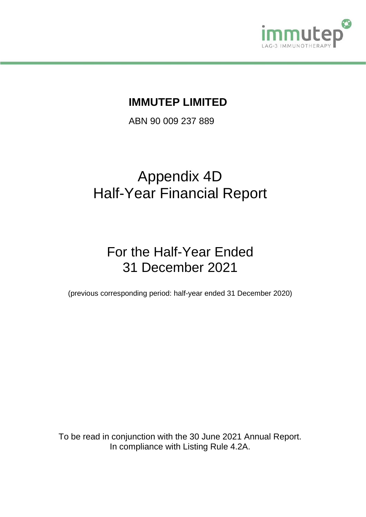

## **IMMUTEP LIMITED**

ABN 90 009 237 889

# Appendix 4D Half-Year Financial Report

# For the Half-Year Ended 31 December 2021

(previous corresponding period: half-year ended 31 December 2020)

To be read in conjunction with the 30 June 2021 Annual Report. In compliance with Listing Rule 4.2A.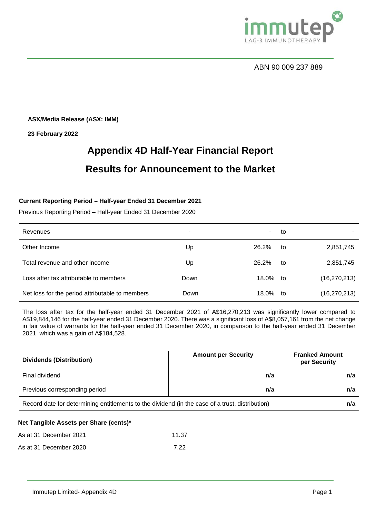

**ASX/Media Release (ASX: IMM)**

**23 February 2022**

# **Appendix 4D Half-Year Financial Report Results for Announcement to the Market**

### **Current Reporting Period – Half-year Ended 31 December 2021**

Previous Reporting Period – Half-year Ended 31 December 2020

| Revenues                                        | ۰    | ٠.       | to |                |
|-------------------------------------------------|------|----------|----|----------------|
| Other Income                                    | Up   | 26.2%    | to | 2,851,745      |
| Total revenue and other income                  | Up   | 26.2%    | to | 2,851,745      |
| Loss after tax attributable to members          | Down | 18.0% to |    | (16, 270, 213) |
| Net loss for the period attributable to members | Down | 18.0% to |    | (16, 270, 213) |

The loss after tax for the half-year ended 31 December 2021 of A\$16,270,213 was significantly lower compared to A\$19,844,146 for the half-year ended 31 December 2020. There was a significant loss of A\$8,057,161 from the net change in fair value of warrants for the half-year ended 31 December 2020, in comparison to the half-year ended 31 December 2021, which was a gain of A\$184,528.

| <b>Dividends (Distribution)</b>                                                                 | <b>Amount per Security</b> | <b>Franked Amount</b><br>per Security |
|-------------------------------------------------------------------------------------------------|----------------------------|---------------------------------------|
| Final dividend                                                                                  | n/a                        | n/a                                   |
| Previous corresponding period                                                                   | n/a                        | n/a                                   |
| Record date for determining entitlements to the dividend (in the case of a trust, distribution) |                            | n/a                                   |

### **Net Tangible Assets per Share (cents)\***

| As at 31 December 2021 | 11.37 |
|------------------------|-------|
| As at 31 December 2020 | 7.22  |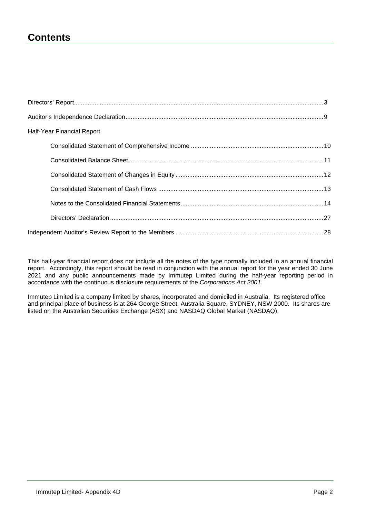## **Contents**

| Half-Year Financial Report |  |
|----------------------------|--|
|                            |  |
|                            |  |
|                            |  |
|                            |  |
|                            |  |
|                            |  |
|                            |  |

This half-year financial report does not include all the notes of the type normally included in an annual financial report. Accordingly, this report should be read in conjunction with the annual report for the year ended 30 June 2021 and any public announcements made by Immutep Limited during the half-year reporting period in accordance with the continuous disclosure requirements of the *Corporations Act 2001.*

Immutep Limited is a company limited by shares, incorporated and domiciled in Australia. Its registered office and principal place of business is at 264 George Street, Australia Square, SYDNEY, NSW 2000. Its shares are listed on the Australian Securities Exchange (ASX) and NASDAQ Global Market (NASDAQ).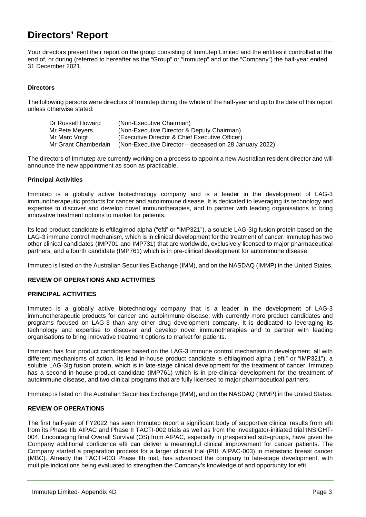## **Directors' Report**

Your directors present their report on the group consisting of Immutep Limited and the entities it controlled at the end of, or during (referred to hereafter as the "Group" or "Immutep" and or the "Company") the half-year ended 31 December 2021.

### **Directors**

The following persons were directors of Immutep during the whole of the half-year and up to the date of this report unless otherwise stated:

Dr Russell Howard (Non-Executive Chairman) Mr Pete Meyers (Non-Executive Director & Deputy Chairman)<br>Mr Marc Voigt (Executive Director & Chief Executive Officer) Mr Marc Voigt (Executive Director & Chief Executive Officer)<br>Mr Grant Chamberlain (Non-Executive Director – deceased on 28 Jan (Non-Executive Director – deceased on 28 January 2022)

The directors of Immutep are currently working on a process to appoint a new Australian resident director and will announce the new appointment as soon as practicable.

#### **Principal Activities**

Immutep is a globally active biotechnology company and is a leader in the development of LAG-3 immunotherapeutic products for cancer and autoimmune disease. It is dedicated to leveraging its technology and expertise to discover and develop novel immunotherapies, and to partner with leading organisations to bring innovative treatment options to market for patients.

Its lead product candidate is eftilagimod alpha ("efti" or "IMP321"), a soluble LAG-3Ig fusion protein based on the LAG-3 immune control mechanism, which is in clinical development for the treatment of cancer. Immutep has two other clinical candidates (IMP701 and IMP731) that are worldwide, exclusively licensed to major pharmaceutical partners, and a fourth candidate (IMP761) which is in pre-clinical development for autoimmune disease.

Immutep is listed on the Australian Securities Exchange (IMM), and on the NASDAQ (IMMP) in the United States.

#### **REVIEW OF OPERATIONS AND ACTIVITIES**

#### **PRINCIPAL ACTIVITIES**

Immutep is a globally active biotechnology company that is a leader in the development of LAG-3 immunotherapeutic products for cancer and autoimmune disease, with currently more product candidates and programs focused on LAG-3 than any other drug development company. It is dedicated to leveraging its technology and expertise to discover and develop novel immunotherapies and to partner with leading organisations to bring innovative treatment options to market for patients.

Immutep has four product candidates based on the LAG-3 immune control mechanism in development, all with different mechanisms of action. Its lead in-house product candidate is eftilagimod alpha ("efti" or "IMP321"), a soluble LAG-3Ig fusion protein, which is in late-stage clinical development for the treatment of cancer. Immutep has a second in-house product candidate (IMP761) which is in pre-clinical development for the treatment of autoimmune disease, and two clinical programs that are fully licensed to major pharmaceutical partners.

Immutep is listed on the Australian Securities Exchange (IMM), and on the NASDAQ (IMMP) in the United States.

#### **REVIEW OF OPERATIONS**

The first half-year of FY2022 has seen Immutep report a significant body of supportive clinical results from efti from its Phase IIb AIPAC and Phase II TACTI-002 trials as well as from the investigator-initiated trial INSIGHT-004. Encouraging final Overall Survival (OS) from AIPAC, especially in prespecified sub-groups, have given the Company additional confidence efti can deliver a meaningful clinical improvement for cancer patients. The Company started a preparation process for a larger clinical trial (PIII, AIPAC-003) in metastatic breast cancer (MBC). Already the TACTI-003 Phase IIb trial, has advanced the company to late-stage development, with multiple indications being evaluated to strengthen the Company's knowledge of and opportunity for efti.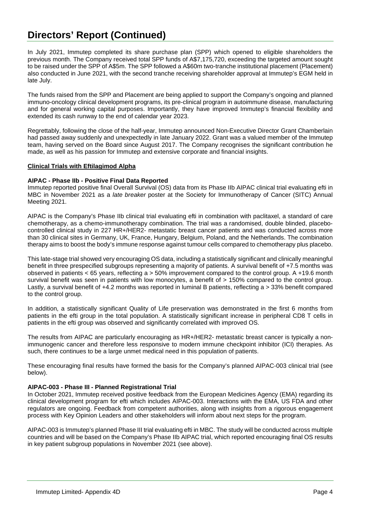## **Directors' Report (Continued)**

In July 2021, Immutep completed its share purchase plan (SPP) which opened to eligible shareholders the previous month. The Company received total SPP funds of A\$7,175,720, exceeding the targeted amount sought to be raised under the SPP of A\$5m. The SPP followed a A\$60m two-tranche institutional placement (Placement) also conducted in June 2021, with the second tranche receiving shareholder approval at Immutep's EGM held in late July.

The funds raised from the SPP and Placement are being applied to support the Company's ongoing and planned immuno-oncology clinical development programs, its pre-clinical program in autoimmune disease, manufacturing and for general working capital purposes. Importantly, they have improved Immutep's financial flexibility and extended its cash runway to the end of calendar year 2023.

Regrettably, following the close of the half-year, Immutep announced Non-Executive Director Grant Chamberlain had passed away suddenly and unexpectedly in late January 2022. Grant was a valued member of the Immutep team, having served on the Board since August 2017. The Company recognises the significant contribution he made, as well as his passion for Immutep and extensive corporate and financial insights.

#### **Clinical Trials with Eftilagimod Alpha**

#### **AIPAC - Phase IIb - Positive Final Data Reported**

Immutep reported positive final Overall Survival (OS) data from its Phase IIb AIPAC clinical trial evaluating efti in MBC in November 2021 as a *late breaker* poster at the Society for Immunotherapy of Cancer (SITC) Annual Meeting 2021.

AIPAC is the Company's Phase IIb clinical trial evaluating efti in combination with paclitaxel, a standard of care chemotherapy, as a chemo-immunotherapy combination. The trial was a randomised, double blinded, placebocontrolled clinical study in 227 HR+/HER2- metastatic breast cancer patients and was conducted across more than 30 clinical sites in Germany, UK, France, Hungary, Belgium, Poland, and the Netherlands. The combination therapy aims to boost the body's immune response against tumour cells compared to chemotherapy plus placebo.

This late-stage trial showed very encouraging OS data, including a statistically significant and clinically meaningful benefit in three prespecified subgroups representing a majority of patients. A survival benefit of +7.5 months was observed in patients < 65 years, reflecting a > 50% improvement compared to the control group. A +19.6 month survival benefit was seen in patients with low monocytes, a benefit of  $> 150\%$  compared to the control group. Lastly, a survival benefit of +4.2 months was reported in luminal B patients, reflecting a > 33% benefit compared to the control group.

In addition, a statistically significant Quality of Life preservation was demonstrated in the first 6 months from patients in the efti group in the total population. A statistically significant increase in peripheral CD8 T cells in patients in the efti group was observed and significantly correlated with improved OS.

The results from AIPAC are particularly encouraging as HR+/HER2- metastatic breast cancer is typically a nonimmunogenic cancer and therefore less responsive to modern immune checkpoint inhibitor (ICI) therapies. As such, there continues to be a large unmet medical need in this population of patients.

These encouraging final results have formed the basis for the Company's planned AIPAC-003 clinical trial (see below).

#### **AIPAC-003 - Phase III - Planned Registrational Trial**

In October 2021, Immutep received positive feedback from the European Medicines Agency (EMA) regarding its clinical development program for efti which includes AIPAC-003. Interactions with the EMA, US FDA and other regulators are ongoing. Feedback from competent authorities, along with insights from a rigorous engagement process with Key Opinion Leaders and other stakeholders will inform about next steps for the program.

AIPAC-003 is Immutep's planned Phase III trial evaluating efti in MBC. The study will be conducted across multiple countries and will be based on the Company's Phase IIb AIPAC trial, which reported encouraging final OS results in key patient subgroup populations in November 2021 (see above).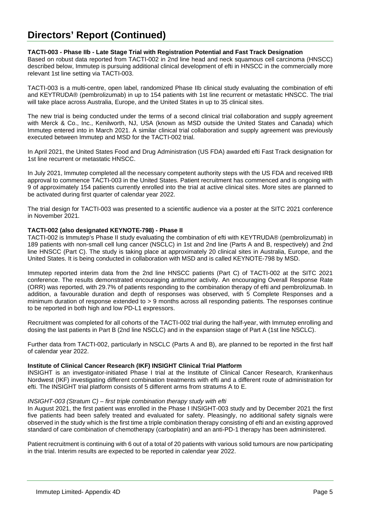## **Directors' Report (Continued)**

#### **TACTI-003 - Phase IIb - Late Stage Trial with Registration Potential and Fast Track Designation**

Based on robust data reported from TACTI-002 in 2nd line head and neck squamous cell carcinoma (HNSCC) described below, Immutep is pursuing additional clinical development of efti in HNSCC in the commercially more relevant 1st line setting via TACTI-003.

TACTI-003 is a multi-centre, open label, randomized Phase IIb clinical study evaluating the combination of efti and KEYTRUDA® (pembrolizumab) in up to 154 patients with 1st line recurrent or metastatic HNSCC. The trial will take place across Australia, Europe, and the United States in up to 35 clinical sites.

The new trial is being conducted under the terms of a second clinical trial collaboration and supply agreement with Merck & Co., Inc., Kenilworth, NJ, USA (known as MSD outside the United States and Canada) which Immutep entered into in March 2021. A similar clinical trial collaboration and supply agreement was previously executed between Immutep and MSD for the TACTI-002 trial.

In April 2021, the United States Food and Drug Administration (US FDA) awarded efti Fast Track designation for 1st line recurrent or metastatic HNSCC.

In July 2021, Immutep completed all the necessary competent authority steps with the US FDA and received IRB approval to commence TACTI-003 in the United States. Patient recruitment has commenced and is ongoing with 9 of approximately 154 patients currently enrolled into the trial at active clinical sites. More sites are planned to be activated during first quarter of calendar year 2022.

The trial design for TACTI-003 was presented to a scientific audience via a poster at the SITC 2021 conference in November 2021.

#### **TACTI-002 (also designated KEYNOTE-798) - Phase II**

TACTI-002 is Immutep's Phase II study evaluating the combination of efti with KEYTRUDA® (pembrolizumab) in 189 patients with non-small cell lung cancer (NSCLC) in 1st and 2nd line (Parts A and B, respectively) and 2nd line HNSCC (Part C). The study is taking place at approximately 20 clinical sites in Australia, Europe, and the United States. It is being conducted in collaboration with MSD and is called KEYNOTE-798 by MSD.

Immutep reported interim data from the 2nd line HNSCC patients (Part C) of TACTI-002 at the SITC 2021 conference. The results demonstrated encouraging antitumor activity. An encouraging Overall Response Rate (ORR) was reported, with 29.7% of patients responding to the combination therapy of efti and pembrolizumab. In addition, a favourable duration and depth of responses was observed, with 5 Complete Responses and a minimum duration of response extended to > 9 months across all responding patients. The responses continue to be reported in both high and low PD-L1 expressors.

Recruitment was completed for all cohorts of the TACTI-002 trial during the half-year, with Immutep enrolling and dosing the last patients in Part B (2nd line NSCLC) and in the expansion stage of Part A (1st line NSCLC).

Further data from TACTI-002, particularly in NSCLC (Parts A and B), are planned to be reported in the first half of calendar year 2022.

### **Institute of Clinical Cancer Research (IKF) INSIGHT Clinical Trial Platform**

INSIGHT is an investigator-initiated Phase I trial at the Institute of Clinical Cancer Research, Krankenhaus Nordwest (IKF) investigating different combination treatments with efti and a different route of administration for efti. The INSIGHT trial platform consists of 5 different arms from stratums A to E.

#### *INSIGHT-003 (Stratum C) – first triple combination therapy study with efti*

In August 2021, the first patient was enrolled in the Phase I INSIGHT-003 study and by December 2021 the first five patients had been safely treated and evaluated for safety. Pleasingly, no additional safety signals were observed in the study which is the first time a triple combination therapy consisting of efti and an existing approved standard of care combination of chemotherapy (carboplatin) and an anti-PD-1 therapy has been administered.

Patient recruitment is continuing with 6 out of a total of 20 patients with various solid tumours are now participating in the trial. Interim results are expected to be reported in calendar year 2022.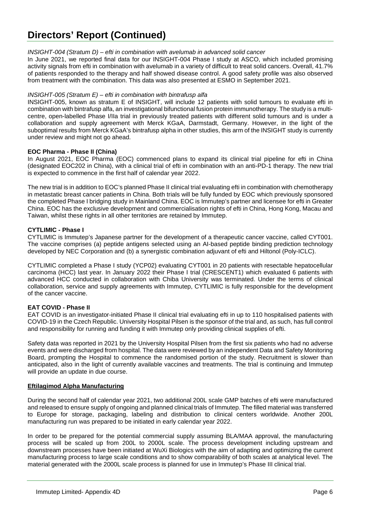### *INSIGHT-004 (Stratum D) – efti in combination with avelumab in advanced solid cancer*

In June 2021, we reported final data for our INSIGHT-004 Phase I study at ASCO, which included promising activity signals from efti in combination with avelumab in a variety of difficult to treat solid cancers. Overall, 41.7% of patients responded to the therapy and half showed disease control. A good safety profile was also observed from treatment with the combination. This data was also presented at ESMO in September 2021.

### *INSIGHT-005 (Stratum E) – efti in combination with bintrafusp alfa*

INSIGHT-005, known as stratum E of INSIGHT, will include 12 patients with solid tumours to evaluate efti in combination with bintrafusp alfa, an investigational bifunctional fusion protein immunotherapy. The study is a multicentre, open-labelled Phase I/IIa trial in previously treated patients with different solid tumours and is under a collaboration and supply agreement with Merck KGaA, Darmstadt, Germany. However, in the light of the suboptimal results from Merck KGaA's bintrafusp alpha in other studies, this arm of the INSIGHT study is currently under review and might not go ahead.

### **EOC Pharma - Phase II (China)**

In August 2021, EOC Pharma (EOC) commenced plans to expand its clinical trial pipeline for efti in China (designated EOC202 in China), with a clinical trial of efti in combination with an anti-PD-1 therapy. The new trial is expected to commence in the first half of calendar year 2022.

The new trial is in addition to EOC's planned Phase II clinical trial evaluating efti in combination with chemotherapy in metastatic breast cancer patients in China. Both trials will be fully funded by EOC which previously sponsored the completed Phase I bridging study in Mainland China. EOC is Immutep's partner and licensee for efti in Greater China. EOC has the exclusive development and commercialisation rights of efti in China, Hong Kong, Macau and Taiwan, whilst these rights in all other territories are retained by Immutep.

### **CYTLIMIC - Phase I**

CYTLIMIC is Immutep's Japanese partner for the development of a therapeutic cancer vaccine, called CYT001. The vaccine comprises (a) peptide antigens selected using an AI-based peptide binding prediction technology developed by NEC Corporation and (b) a synergistic combination adjuvant of efti and Hiltonol (Poly-ICLC).

CYTLIMIC completed a Phase I study (YCP02) evaluating CYT001 in 20 patients with resectable hepatocellular carcinoma (HCC) last year. In January 2022 their Phase I trial (CRESCENT1) which evaluated 6 patients with advanced HCC conducted in collaboration with Chiba University was terminated. Under the terms of clinical collaboration, service and supply agreements with Immutep, CYTLIMIC is fully responsible for the development of the cancer vaccine.

### **EAT COVID - Phase II**

EAT COVID is an investigator-initiated Phase II clinical trial evaluating efti in up to 110 hospitalised patients with COVID-19 in the Czech Republic. University Hospital Pilsen is the sponsor of the trial and, as such, has full control and responsibility for running and funding it with Immutep only providing clinical supplies of efti.

Safety data was reported in 2021 by the University Hospital Pilsen from the first six patients who had no adverse events and were discharged from hospital. The data were reviewed by an independent Data and Safety Monitoring Board, prompting the Hospital to commence the randomised portion of the study. Recruitment is slower than anticipated, also in the light of currently available vaccines and treatments. The trial is continuing and Immutep will provide an update in due course.

### **Eftilagimod Alpha Manufacturing**

During the second half of calendar year 2021, two additional 200L scale GMP batches of efti were manufactured and released to ensure supply of ongoing and planned clinical trials of Immutep. The filled material was transferred to Europe for storage, packaging, labeling and distribution to clinical centers worldwide. Another 200L manufacturing run was prepared to be initiated in early calendar year 2022.

In order to be prepared for the potential commercial supply assuming BLA/MAA approval, the manufacturing process will be scaled up from 200L to 2000L scale. The process development including upstream and downstream processes have been initiated at WuXi Biologics with the aim of adapting and optimizing the current manufacturing process to large scale conditions and to show comparability of both scales at analytical level. The material generated with the 2000L scale process is planned for use in Immutep's Phase III clinical trial.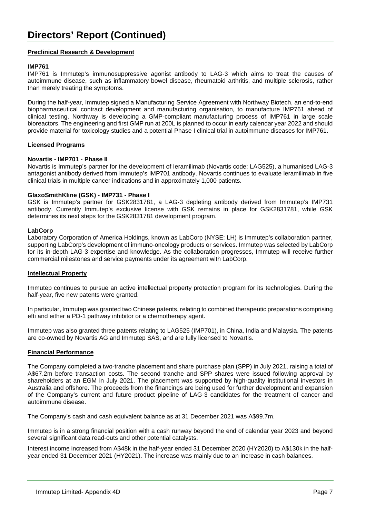### **Preclinical Research & Development**

#### **IMP761**

IMP761 is Immutep's immunosuppressive agonist antibody to LAG-3 which aims to treat the causes of autoimmune disease, such as inflammatory bowel disease, rheumatoid arthritis, and multiple sclerosis, rather than merely treating the symptoms.

During the half-year, Immutep signed a Manufacturing Service Agreement with Northway Biotech, an end-to-end biopharmaceutical contract development and manufacturing organisation, to manufacture IMP761 ahead of clinical testing. Northway is developing a GMP-compliant manufacturing process of IMP761 in large scale bioreactors. The engineering and first GMP run at 200L is planned to occur in early calendar year 2022 and should provide material for toxicology studies and a potential Phase I clinical trial in autoimmune diseases for IMP761.

#### **Licensed Programs**

#### **Novartis - IMP701 - Phase II**

Novartis is Immutep's partner for the development of Ieramilimab (Novartis code: LAG525), a humanised LAG-3 antagonist antibody derived from Immutep's IMP701 antibody. Novartis continues to evaluate leramilimab in five clinical trials in multiple cancer indications and in approximately 1,000 patients.

#### **GlaxoSmithKline (GSK) - IMP731 - Phase I**

GSK is Immutep's partner for GSK2831781, a LAG-3 depleting antibody derived from Immutep's IMP731 antibody. Currently Immutep's exclusive license with GSK remains in place for GSK2831781, while GSK determines its next steps for the GSK2831781 development program.

#### **LabCorp**

Laboratory Corporation of America Holdings, known as LabCorp (NYSE: LH) is Immutep's collaboration partner, supporting LabCorp's development of immuno-oncology products or services. Immutep was selected by LabCorp for its in-depth LAG-3 expertise and knowledge. As the collaboration progresses, Immutep will receive further commercial milestones and service payments under its agreement with LabCorp.

#### **Intellectual Property**

Immutep continues to pursue an active intellectual property protection program for its technologies. During the half-year, five new patents were granted.

In particular, Immutep was granted two Chinese patents, relating to combined therapeutic preparations comprising efti and either a PD-1 pathway inhibitor or a chemotherapy agent.

Immutep was also granted three patents relating to LAG525 (IMP701), in China, India and Malaysia. The patents are co-owned by Novartis AG and Immutep SAS, and are fully licensed to Novartis.

#### **Financial Performance**

The Company completed a two-tranche placement and share purchase plan (SPP) in July 2021, raising a total of A\$67.2m before transaction costs. The second tranche and SPP shares were issued following approval by shareholders at an EGM in July 2021. The placement was supported by high-quality institutional investors in Australia and offshore. The proceeds from the financings are being used for further development and expansion of the Company's current and future product pipeline of LAG-3 candidates for the treatment of cancer and autoimmune disease.

The Company's cash and cash equivalent balance as at 31 December 2021 was A\$99.7m.

Immutep is in a strong financial position with a cash runway beyond the end of calendar year 2023 and beyond several significant data read-outs and other potential catalysts.

Interest income increased from A\$48k in the half-year ended 31 December 2020 (HY2020) to A\$130k in the halfyear ended 31 December 2021 (HY2021). The increase was mainly due to an increase in cash balances.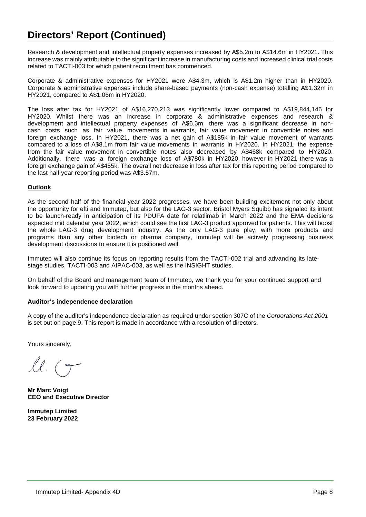## **Directors' Report (Continued)**

Research & development and intellectual property expenses increased by A\$5.2m to A\$14.6m in HY2021. This increase was mainly attributable to the significant increase in manufacturing costs and increased clinical trial costs related to TACTI-003 for which patient recruitment has commenced.

Corporate & administrative expenses for HY2021 were A\$4.3m, which is A\$1.2m higher than in HY2020. Corporate & administrative expenses include share-based payments (non-cash expense) totalling A\$1.32m in HY2021, compared to A\$1.06m in HY2020.

The loss after tax for HY2021 of A\$16,270,213 was significantly lower compared to A\$19,844,146 for HY2020. Whilst there was an increase in corporate & administrative expenses and research & development and intellectual property expenses of A\$6.3m, there was a significant decrease in noncash costs such as fair value movements in warrants, fair value movement in convertible notes and foreign exchange loss. In HY2021, there was a net gain of A\$185k in fair value movement of warrants compared to a loss of A\$8.1m from fair value movements in warrants in HY2020. In HY2021, the expense from the fair value movement in convertible notes also decreased by A\$468k compared to HY2020. Additionally, there was a foreign exchange loss of A\$780k in HY2020, however in HY2021 there was a foreign exchange gain of A\$455k. The overall net decrease in loss after tax for this reporting period compared to the last half year reporting period was A\$3.57m.

### **Outlook**

As the second half of the financial year 2022 progresses, we have been building excitement not only about the opportunity for efti and Immutep, but also for the LAG-3 sector. Bristol Myers Squibb has signaled its intent to be launch-ready in anticipation of its PDUFA date for relatlimab in March 2022 and the EMA decisions expected mid calendar year 2022, which could see the first LAG-3 product approved for patients. This will boost the whole LAG-3 drug development industry. As the only LAG-3 pure play, with more products and programs than any other biotech or pharma company, Immutep will be actively progressing business development discussions to ensure it is positioned well.

Immutep will also continue its focus on reporting results from the TACTI-002 trial and advancing its latestage studies, TACTI-003 and AIPAC-003, as well as the INSIGHT studies.

On behalf of the Board and management team of Immutep, we thank you for your continued support and look forward to updating you with further progress in the months ahead.

### **Auditor's independence declaration**

A copy of the auditor's independence declaration as required under section 307C of the *Corporations Act 2001* is set out on page 9. This report is made in accordance with a resolution of directors.

Yours sincerely,

 $l l$  (9

**Mr Marc Voigt CEO and Executive Director**

**Immutep Limited 23 February 2022**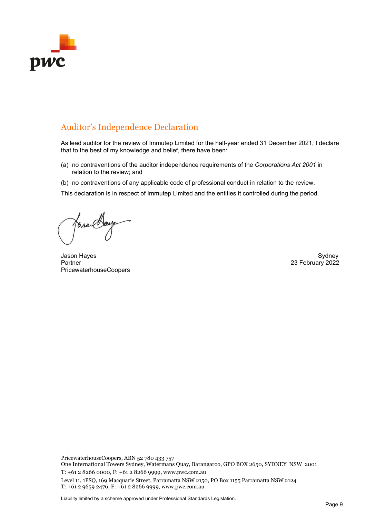

## Auditor's Independence Declaration

As lead auditor for the review of Immutep Limited for the half-year ended 31 December 2021, I declare that to the best of my knowledge and belief, there have been:

- (a) no contraventions of the auditor independence requirements of the *Corporations Act 2001* in relation to the review; and
- (b) no contraventions of any applicable code of professional conduct in relation to the review.

This declaration is in respect of Immutep Limited and the entities it controlled during the period.

Jasa Clays

Jason Hayes **Sydney Sydney Sydney Sydney Sydney Sydney** Sydney Sydney Sydney Sydney Sydney Sydney Sydney Sydney Partner 2022 PricewaterhouseCoopers

PricewaterhouseCoopers, ABN 52 780 433 757 One International Towers Sydney, Watermans Quay, Barangaroo, GPO BOX 2650, SYDNEY NSW 2001

T: +61 2 8266 0000, F: +61 2 8266 9999, www.pwc.com.au

Level 11, 1PSQ, 169 Macquarie Street, Parramatta NSW 2150, PO Box 1155 Parramatta NSW 2124 T: +61 2 9659 2476, F: +61 2 8266 9999, www.pwc.com.au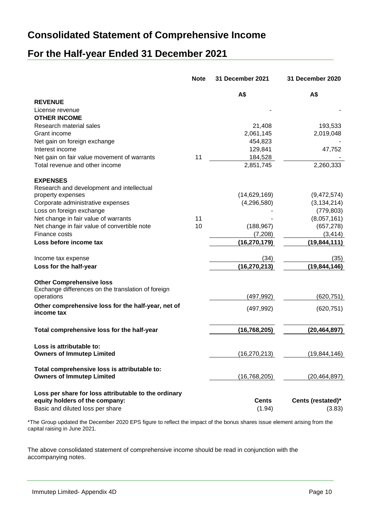## **Consolidated Statement of Comprehensive Income**

## **For the Half-year Ended 31 December 2021**

|                                                      | <b>Note</b> | 31 December 2021 | 31 December 2020  |
|------------------------------------------------------|-------------|------------------|-------------------|
|                                                      |             | A\$              | A\$               |
| <b>REVENUE</b>                                       |             |                  |                   |
| License revenue                                      |             |                  |                   |
| <b>OTHER INCOME</b>                                  |             |                  |                   |
| Research material sales                              |             | 21,408           | 193,533           |
| Grant income                                         |             | 2,061,145        | 2,019,048         |
| Net gain on foreign exchange                         |             | 454,823          |                   |
| Interest income                                      |             | 129,841          | 47,752            |
| Net gain on fair value movement of warrants          | 11          | 184,528          |                   |
| Total revenue and other income                       |             | 2,851,745        | 2,260,333         |
| <b>EXPENSES</b>                                      |             |                  |                   |
| Research and development and intellectual            |             |                  |                   |
| property expenses                                    |             | (14,629,169)     | (9,472,574)       |
| Corporate administrative expenses                    |             | (4,296,580)      | (3, 134, 214)     |
| Loss on foreign exchange                             |             |                  | (779, 803)        |
| Net change in fair value of warrants                 | 11          |                  | (8,057,161)       |
| Net change in fair value of convertible note         | 10          | (188, 967)       | (657, 278)        |
| Finance costs                                        |             | (7,208)          | (3, 414)          |
| Loss before income tax                               |             | (16, 270, 179)   | (19, 844, 111)    |
| Income tax expense                                   |             | (34)             | (35)              |
| Loss for the half-year                               |             | (16, 270, 213)   | (19, 844, 146)    |
| <b>Other Comprehensive loss</b>                      |             |                  |                   |
| Exchange differences on the translation of foreign   |             |                  |                   |
| operations                                           |             | (497, 992)       | (620,751)         |
| Other comprehensive loss for the half-year, net of   |             | (497, 992)       | (620, 751)        |
| income tax                                           |             |                  |                   |
| Total comprehensive loss for the half-year           |             | (16, 768, 205)   | (20, 464, 897)    |
| Loss is attributable to:                             |             |                  |                   |
| <b>Owners of Immutep Limited</b>                     |             | (16, 270, 213)   | (19, 844, 146)    |
| Total comprehensive loss is attributable to:         |             |                  |                   |
| <b>Owners of Immutep Limited</b>                     |             | (16, 768, 205)   | (20, 464, 897)    |
| Loss per share for loss attributable to the ordinary |             |                  |                   |
| equity holders of the company:                       |             | <b>Cents</b>     | Cents (restated)* |
| Basic and diluted loss per share                     |             | (1.94)           | (3.83)            |
|                                                      |             |                  |                   |

\*The Group updated the December 2020 EPS figure to reflect the impact of the bonus shares issue element arising from the capital raising in June 2021.

The above consolidated statement of comprehensive income should be read in conjunction with the accompanying notes.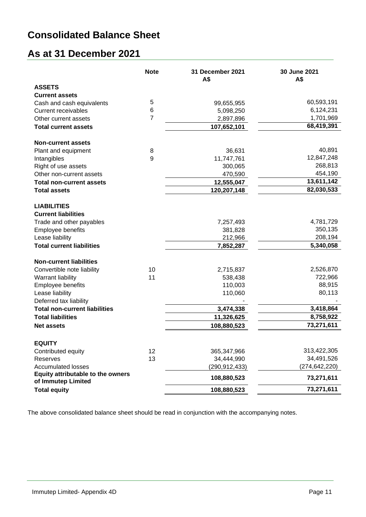## **Consolidated Balance Sheet**

## **As at 31 December 2021**

|                                                         | <b>Note</b>    | 31 December 2021<br>A\$ | 30 June 2021<br>A\$ |
|---------------------------------------------------------|----------------|-------------------------|---------------------|
| <b>ASSETS</b>                                           |                |                         |                     |
| <b>Current assets</b>                                   |                |                         |                     |
| Cash and cash equivalents                               | 5              | 99,655,955              | 60,593,191          |
| <b>Current receivables</b>                              | 6              | 5,098,250               | 6,124,231           |
| Other current assets                                    | $\overline{7}$ | 2,897,896               | 1,701,969           |
| <b>Total current assets</b>                             |                | 107,652,101             | 68,419,391          |
| <b>Non-current assets</b>                               |                |                         |                     |
| Plant and equipment                                     | 8              | 36,631                  | 40,891              |
| Intangibles                                             | 9              | 11,747,761              | 12,847,248          |
| Right of use assets                                     |                | 300,065                 | 268,813             |
| Other non-current assets                                |                | 470,590                 | 454,190             |
| <b>Total non-current assets</b>                         |                | 12,555,047              | 13,611,142          |
| <b>Total assets</b>                                     |                | 120,207,148             | 82,030,533          |
| <b>LIABILITIES</b><br><b>Current liabilities</b>        |                |                         |                     |
| Trade and other payables                                |                | 7,257,493               | 4,781,729           |
| Employee benefits                                       |                | 381,828                 | 350,135             |
| Lease liability                                         |                | 212,966                 | 208,194             |
| <b>Total current liabilities</b>                        |                | 7,852,287               | 5,340,058           |
| <b>Non-current liabilities</b>                          |                |                         |                     |
| Convertible note liability                              | 10             | 2,715,837               | 2,526,870           |
| Warrant liability                                       | 11             | 538,438                 | 722,966             |
| Employee benefits                                       |                | 110,003                 | 88,915              |
| Lease liability<br>Deferred tax liability               |                | 110,060                 | 80,113              |
| <b>Total non-current liabilities</b>                    |                | 3,474,338               | 3,418,864           |
| <b>Total liabilities</b>                                |                | 11,326,625              | 8,758,922           |
| <b>Net assets</b>                                       |                | 108,880,523             | 73,271,611          |
|                                                         |                |                         |                     |
| <b>EQUITY</b>                                           |                |                         |                     |
| Contributed equity                                      | 12             | 365,347,966             | 313,422,305         |
| Reserves                                                | 13             | 34,444,990              | 34,491,526          |
| <b>Accumulated losses</b>                               |                | (290, 912, 433)         | (274, 642, 220)     |
| Equity attributable to the owners<br>of Immutep Limited |                | 108,880,523             | 73,271,611          |
| <b>Total equity</b>                                     |                | 108,880,523             | 73,271,611          |

The above consolidated balance sheet should be read in conjunction with the accompanying notes.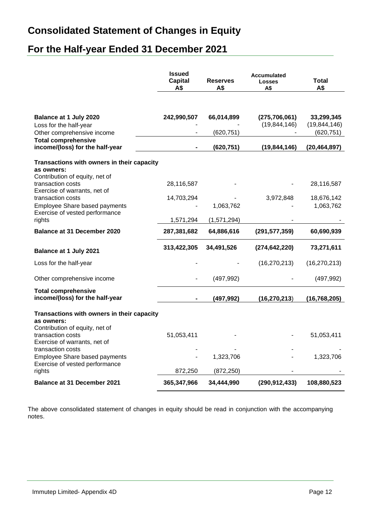## **Consolidated Statement of Changes in Equity**

## **For the Half-year Ended 31 December 2021**

|                                                                                            | <b>Issued</b><br><b>Capital</b><br>A\$ | <b>Reserves</b><br>A\$ | <b>Accumulated</b><br><b>Losses</b><br>A\$ | Total<br>A\$                 |
|--------------------------------------------------------------------------------------------|----------------------------------------|------------------------|--------------------------------------------|------------------------------|
|                                                                                            |                                        |                        |                                            |                              |
| Balance at 1 July 2020<br>Loss for the half-year                                           | 242,990,507                            | 66,014,899             | (275, 706, 061)<br>(19, 844, 146)          | 33,299,345<br>(19, 844, 146) |
| Other comprehensive income                                                                 |                                        | (620, 751)             |                                            | (620, 751)                   |
| <b>Total comprehensive</b><br>income/(loss) for the half-year                              |                                        | (620, 751)             | (19, 844, 146)                             | (20, 464, 897)               |
| Transactions with owners in their capacity                                                 |                                        |                        |                                            |                              |
| as owners:<br>Contribution of equity, net of                                               |                                        |                        |                                            |                              |
| transaction costs<br>Exercise of warrants, net of                                          | 28,116,587                             |                        |                                            | 28,116,587                   |
| transaction costs                                                                          | 14,703,294                             |                        | 3,972,848                                  | 18,676,142                   |
| Employee Share based payments<br>Exercise of vested performance                            |                                        | 1,063,762              |                                            | 1,063,762                    |
| rights                                                                                     | 1,571,294                              | (1,571,294)            |                                            |                              |
| <b>Balance at 31 December 2020</b>                                                         | 287,381,682                            | 64,886,616             | (291, 577, 359)                            | 60,690,939                   |
| <b>Balance at 1 July 2021</b>                                                              | 313,422,305                            | 34,491,526             | (274, 642, 220)                            | 73,271,611                   |
| Loss for the half-year                                                                     |                                        |                        | (16, 270, 213)                             | (16, 270, 213)               |
| Other comprehensive income                                                                 |                                        | (497, 992)             |                                            | (497, 992)                   |
| <b>Total comprehensive</b><br>income/(loss) for the half-year                              |                                        | (497,992)              | (16, 270, 213)                             | (16, 768, 205)               |
| Transactions with owners in their capacity<br>as owners:<br>Contribution of equity, net of |                                        |                        |                                            |                              |
| transaction costs<br>Exercise of warrants, net of                                          | 51,053,411                             |                        |                                            | 51,053,411                   |
| transaction costs<br>Employee Share based payments                                         |                                        | 1,323,706              |                                            | 1,323,706                    |
| Exercise of vested performance                                                             |                                        |                        |                                            |                              |
| rights                                                                                     | 872,250                                | (872, 250)             |                                            |                              |
| <b>Balance at 31 December 2021</b>                                                         | 365,347,966                            | 34,444,990             | (290, 912, 433)                            | 108,880,523                  |

The above consolidated statement of changes in equity should be read in conjunction with the accompanying notes.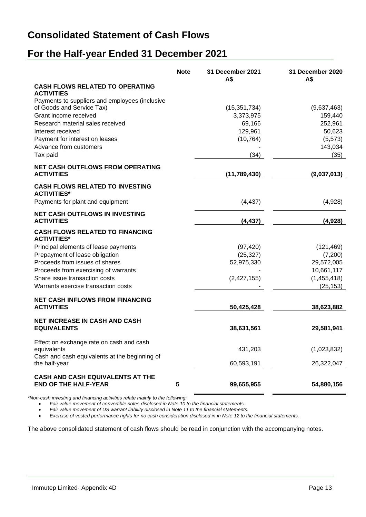## **Consolidated Statement of Cash Flows**

## **For the Half-year Ended 31 December 2021**

|                                                                 | <b>Note</b> | 31 December 2021<br>A\$ | 31 December 2020<br>A\$ |
|-----------------------------------------------------------------|-------------|-------------------------|-------------------------|
| <b>CASH FLOWS RELATED TO OPERATING</b><br><b>ACTIVITIES</b>     |             |                         |                         |
| Payments to suppliers and employees (inclusive                  |             |                         |                         |
| of Goods and Service Tax)                                       |             | (15, 351, 734)          | (9,637,463)             |
| Grant income received                                           |             | 3,373,975               | 159,440                 |
| Research material sales received                                |             | 69,166                  | 252,961                 |
| Interest received                                               |             | 129,961                 | 50,623                  |
| Payment for interest on leases                                  |             | (10, 764)               | (5, 573)                |
| Advance from customers<br>Tax paid                              |             |                         | 143,034<br>(35)         |
|                                                                 |             | (34)                    |                         |
| NET CASH OUTFLOWS FROM OPERATING<br><b>ACTIVITIES</b>           |             | (11,789,430)            | (9,037,013)             |
| <b>CASH FLOWS RELATED TO INVESTING</b><br><b>ACTIVITIES*</b>    |             |                         |                         |
| Payments for plant and equipment                                |             | (4, 437)                | (4,928)                 |
| <b>NET CASH OUTFLOWS IN INVESTING</b><br><b>ACTIVITIES</b>      |             | (4, 437)                | (4,928)                 |
| <b>CASH FLOWS RELATED TO FINANCING</b><br><b>ACTIVITIES*</b>    |             |                         |                         |
| Principal elements of lease payments                            |             | (97, 420)               | (121, 469)              |
| Prepayment of lease obligation                                  |             | (25, 327)               | (7,200)                 |
| Proceeds from issues of shares                                  |             | 52,975,330              | 29,572,005              |
| Proceeds from exercising of warrants                            |             |                         | 10,661,117              |
| Share issue transaction costs                                   |             | (2,427,155)             | (1,455,418)             |
| Warrants exercise transaction costs                             |             |                         | (25, 153)               |
| <b>NET CASH INFLOWS FROM FINANCING</b>                          |             |                         |                         |
| <b>ACTIVITIES</b>                                               |             | 50,425,428              | 38,623,882              |
| <b>NET INCREASE IN CASH AND CASH</b>                            |             |                         |                         |
| <b>EQUIVALENTS</b>                                              |             | 38,631,561              | 29,581,941              |
| Effect on exchange rate on cash and cash                        |             |                         |                         |
| equivalents<br>Cash and cash equivalents at the beginning of    |             | 431,203                 | (1,023,832)             |
| the half-year                                                   |             | 60,593,191              | 26,322,047              |
| CASH AND CASH EQUIVALENTS AT THE<br><b>END OF THE HALF-YEAR</b> | ${\bf 5}$   | 99,655,955              | 54,880,156              |

*\*Non-cash investing and financing activities relate mainly to the following:*

• *Fair value movement of convertible notes disclosed in Note 10 to the financial statements.*

• *Fair value movement of US warrant liability disclosed in Note 11 to the financial statements.*

• *Exercise of vested performance rights for no cash consideration disclosed in in Note 12 to the financial statements.*

The above consolidated statement of cash flows should be read in conjunction with the accompanying notes.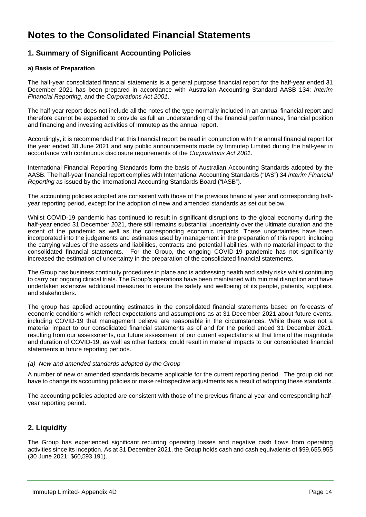## **1. Summary of Significant Accounting Policies**

### **a) Basis of Preparation**

The half-year consolidated financial statements is a general purpose financial report for the half-year ended 31 December 2021 has been prepared in accordance with Australian Accounting Standard AASB 134: *Interim Financial Reporting*, and the *Corporations Act 2001*.

The half-year report does not include all the notes of the type normally included in an annual financial report and therefore cannot be expected to provide as full an understanding of the financial performance, financial position and financing and investing activities of Immutep as the annual report.

Accordingly, it is recommended that this financial report be read in conjunction with the annual financial report for the year ended 30 June 2021 and any public announcements made by Immutep Limited during the half-year in accordance with continuous disclosure requirements of the *Corporations Act 2001*.

International Financial Reporting Standards form the basis of Australian Accounting Standards adopted by the AASB. The half-year financial report complies with International Accounting Standards ("IAS") 34 *Interim Financial Reporting* as issued by the International Accounting Standards Board ("IASB").

The accounting policies adopted are consistent with those of the previous financial year and corresponding halfyear reporting period, except for the adoption of new and amended standards as set out below.

Whilst COVID-19 pandemic has continued to result in significant disruptions to the global economy during the half-year ended 31 December 2021, there still remains substantial uncertainty over the ultimate duration and the extent of the pandemic as well as the corresponding economic impacts. These uncertainties have been incorporated into the judgements and estimates used by management in the preparation of this report, including the carrying values of the assets and liabilities, contracts and potential liabilities, with no material impact to the consolidated financial statements. For the Group, the ongoing COVID-19 pandemic has not significantly increased the estimation of uncertainty in the preparation of the consolidated financial statements.

The Group has business continuity procedures in place and is addressing health and safety risks whilst continuing to carry out ongoing clinical trials. The Group's operations have been maintained with minimal disruption and have undertaken extensive additional measures to ensure the safety and wellbeing of its people, patients, suppliers, and stakeholders.

The group has applied accounting estimates in the consolidated financial statements based on forecasts of economic conditions which reflect expectations and assumptions as at 31 December 2021 about future events, including COVID-19 that management believe are reasonable in the circumstances. While there was not a material impact to our consolidated financial statements as of and for the period ended 31 December 2021, resulting from our assessments, our future assessment of our current expectations at that time of the magnitude and duration of COVID-19, as well as other factors, could result in material impacts to our consolidated financial statements in future reporting periods.

### *(a) New and amended standards adopted by the Group*

A number of new or amended standards became applicable for the current reporting period. The group did not have to change its accounting policies or make retrospective adjustments as a result of adopting these standards.

The accounting policies adopted are consistent with those of the previous financial year and corresponding halfyear reporting period.

## **2. Liquidity**

The Group has experienced significant recurring operating losses and negative cash flows from operating activities since its inception. As at 31 December 2021, the Group holds cash and cash equivalents of \$99,655,955 (30 June 2021: \$60,593,191).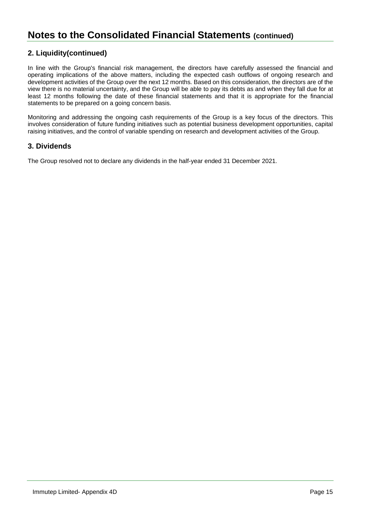## **2. Liquidity(continued)**

In line with the Group's financial risk management, the directors have carefully assessed the financial and operating implications of the above matters, including the expected cash outflows of ongoing research and development activities of the Group over the next 12 months. Based on this consideration, the directors are of the view there is no material uncertainty, and the Group will be able to pay its debts as and when they fall due for at least 12 months following the date of these financial statements and that it is appropriate for the financial statements to be prepared on a going concern basis.

Monitoring and addressing the ongoing cash requirements of the Group is a key focus of the directors. This involves consideration of future funding initiatives such as potential business development opportunities, capital raising initiatives, and the control of variable spending on research and development activities of the Group.

## **3. Dividends**

The Group resolved not to declare any dividends in the half-year ended 31 December 2021.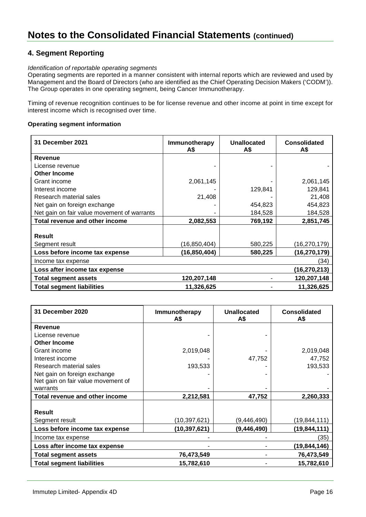## **4. Segment Reporting**

### *Identification of reportable operating segments*

Operating segments are reported in a manner consistent with internal reports which are reviewed and used by Management and the Board of Directors (who are identified as the Chief Operating Decision Makers ('CODM')). The Group operates in one operating segment, being Cancer Immunotherapy.

Timing of revenue recognition continues to be for license revenue and other income at point in time except for interest income which is recognised over time.

### **Operating segment information**

| 31 December 2021                            | Immunotherapy<br>A\$ | Unallocated<br>A\$ | Consolidated<br>A\$ |
|---------------------------------------------|----------------------|--------------------|---------------------|
| Revenue                                     |                      |                    |                     |
| License revenue                             |                      |                    |                     |
| <b>Other Income</b>                         |                      |                    |                     |
| Grant income                                | 2,061,145            |                    | 2,061,145           |
| Interest income                             |                      | 129,841            | 129,841             |
| Research material sales                     | 21,408               |                    | 21,408              |
| Net gain on foreign exchange                |                      | 454,823            | 454,823             |
| Net gain on fair value movement of warrants |                      | 184,528            | 184,528             |
| Total revenue and other income              | 2,082,553            | 769,192            | 2,851,745           |
|                                             |                      |                    |                     |
| <b>Result</b>                               |                      |                    |                     |
| Segment result                              | (16,850,404)         | 580,225            | (16,270,179)        |
| Loss before income tax expense              | (16,850,404)         | 580,225            | (16,270,179)        |
| Income tax expense                          |                      |                    | (34)                |
| Loss after income tax expense               |                      |                    | (16,270,213)        |
| Total segment assets                        | 120,207,148          |                    | 120,207,148         |
| <b>Total segment liabilities</b>            | 11,326,625           |                    | 11,326,625          |

| 31 December 2020                   | Immunotherapy<br>A\$ | <b>Unallocated</b><br>А\$ | <b>Consolidated</b><br>A\$ |
|------------------------------------|----------------------|---------------------------|----------------------------|
| Revenue                            |                      |                           |                            |
| License revenue                    |                      |                           |                            |
| <b>Other Income</b>                |                      |                           |                            |
| Grant income                       | 2,019,048            |                           | 2,019,048                  |
| Interest income                    |                      | 47,752                    | 47,752                     |
| Research material sales            | 193,533              |                           | 193,533                    |
| Net gain on foreign exchange       |                      |                           |                            |
| Net gain on fair value movement of |                      |                           |                            |
| warrants                           |                      |                           |                            |
| Total revenue and other income     | 2,212,581            | 47,752                    | 2,260,333                  |
|                                    |                      |                           |                            |
| <b>Result</b>                      |                      |                           |                            |
| Segment result                     | (10,397,621)         | (9,446,490)               | (19, 844, 111)             |
| Loss before income tax expense     | (10,397,621)         | (9, 446, 490)             | (19,844,111)               |
| Income tax expense                 |                      |                           | (35)                       |
| Loss after income tax expense      |                      |                           | (19,844,146)               |
| <b>Total segment assets</b>        | 76,473,549           |                           | 76,473,549                 |
| <b>Total segment liabilities</b>   | 15,782,610           |                           | 15,782,610                 |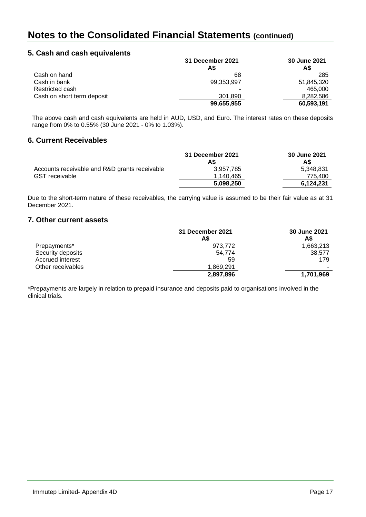## **5. Cash and cash equivalents**

|                            | 31 December 2021<br>A\$ | 30 June 2021<br>A\$ |
|----------------------------|-------------------------|---------------------|
| Cash on hand               | 68                      | 285                 |
| Cash in bank               | 99,353,997              | 51,845,320          |
| Restricted cash            |                         | 465.000             |
| Cash on short term deposit | 301.890                 | 8,282,586           |
|                            | 99,655,955              | 60,593,191          |

The above cash and cash equivalents are held in AUD, USD, and Euro. The interest rates on these deposits range from 0% to 0.55% (30 June 2021 - 0% to 1.03%).

### **6. Current Receivables**

|                                               | 31 December 2021 | 30 June 2021 |
|-----------------------------------------------|------------------|--------------|
|                                               | A\$              | A\$          |
| Accounts receivable and R&D grants receivable | 3.957.785        | 5,348,831    |
| <b>GST</b> receivable                         | 1.140.465        | 775.400      |
|                                               | 5,098,250        | 6.124.231    |

Due to the short-term nature of these receivables, the carrying value is assumed to be their fair value as at 31 December 2021.

## **7. Other current assets**

|                   | 31 December 2021<br>A\$ | 30 June 2021<br>A\$ |
|-------------------|-------------------------|---------------------|
| Prepayments*      | 973.772                 | 1,663,213           |
| Security deposits | 54.774                  | 38.577              |
| Accrued interest  | 59                      | 179                 |
| Other receivables | 1,869,291               |                     |
|                   | 2,897,896               | 1,701,969           |

\*Prepayments are largely in relation to prepaid insurance and deposits paid to organisations involved in the clinical trials.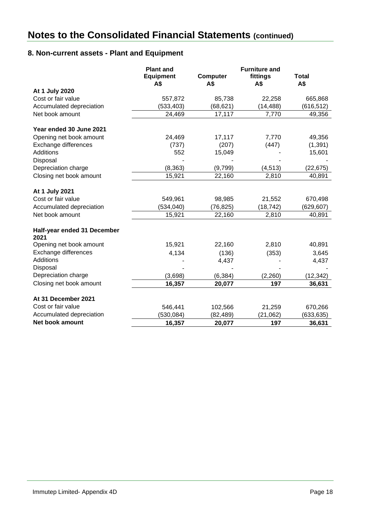## **8. Non-current assets - Plant and Equipment**

|                             | <b>Plant and</b> |                 | <b>Furniture and</b> |              |
|-----------------------------|------------------|-----------------|----------------------|--------------|
|                             | <b>Equipment</b> | <b>Computer</b> | fittings             | <b>Total</b> |
|                             | A\$              | A\$             | A\$                  | A\$          |
| At 1 July 2020              |                  |                 |                      |              |
| Cost or fair value          | 557,872          | 85,738          | 22,258               | 665,868      |
| Accumulated depreciation    | (533, 403)       | (68, 621)       | (14, 488)            | (616, 512)   |
| Net book amount             | 24,469           | 17,117          | 7,770                | 49,356       |
| Year ended 30 June 2021     |                  |                 |                      |              |
| Opening net book amount     | 24,469           | 17,117          | 7,770                | 49,356       |
| Exchange differences        | (737)            | (207)           | (447)                | (1, 391)     |
| <b>Additions</b>            | 552              | 15,049          |                      | 15,601       |
| Disposal                    |                  |                 |                      |              |
| Depreciation charge         | (8, 363)         | (9,799)         | (4, 513)             | (22, 675)    |
| Closing net book amount     | 15,921           | 22,160          | 2,810                | 40,891       |
| At 1 July 2021              |                  |                 |                      |              |
| Cost or fair value          | 549,961          | 98,985          | 21,552               | 670,498      |
| Accumulated depreciation    | (534, 040)       | (76, 825)       | (18, 742)            | (629, 607)   |
| Net book amount             | 15,921           | 22,160          | 2,810                | 40,891       |
| Half-year ended 31 December |                  |                 |                      |              |
| 2021                        |                  |                 |                      |              |
| Opening net book amount     | 15,921           | 22,160          | 2,810                | 40,891       |
| Exchange differences        | 4,134            | (136)           | (353)                | 3,645        |
| <b>Additions</b>            |                  | 4,437           |                      | 4,437        |
| Disposal                    |                  |                 |                      |              |
| Depreciation charge         | (3,698)          | (6, 384)        | (2,260)              | (12, 342)    |
| Closing net book amount     | 16,357           | 20,077          | 197                  | 36,631       |
| At 31 December 2021         |                  |                 |                      |              |
| Cost or fair value          | 546,441          | 102,566         | 21,259               | 670,266      |
| Accumulated depreciation    | (530, 084)       | (82, 489)       | (21, 062)            | (633, 635)   |
| Net book amount             | 16,357           | 20,077          | 197                  | 36,631       |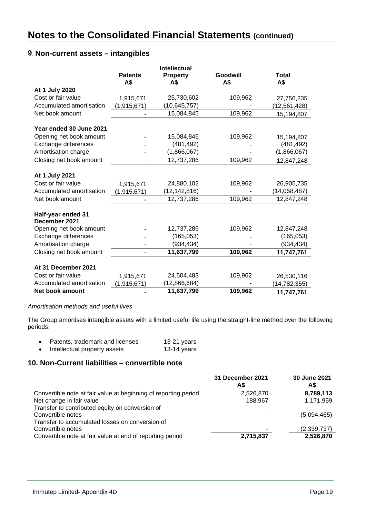## **9**. **Non-current assets – intangibles**

|                          |                | <b>Intellectual</b> |          |                |
|--------------------------|----------------|---------------------|----------|----------------|
|                          | <b>Patents</b> | <b>Property</b>     | Goodwill | <b>Total</b>   |
|                          | A\$            | A\$                 | A\$      | A\$            |
| At 1 July 2020           |                |                     |          |                |
| Cost or fair value       | 1,915,671      | 25,730,602          | 109,962  | 27,756,235     |
| Accumulated amortisation | (1,915,671)    | (10, 645, 757)      |          | (12, 561, 428) |
| Net book amount          |                | 15,084,845          | 109,962  | 15,194,807     |
|                          |                |                     |          |                |
| Year ended 30 June 2021  |                |                     |          |                |
| Opening net book amount  |                | 15,084,845          | 109,962  | 15,194,807     |
| Exchange differences     |                | (481, 492)          |          | (481, 492)     |
| Amortisation charge      |                | (1,866,067)         |          | (1,866,067)    |
| Closing net book amount  |                | 12,737,286          | 109,962  | 12,847,248     |
|                          |                |                     |          |                |
| At 1 July 2021           |                |                     |          |                |
| Cost or fair value       | 1,915,671      | 24,880,102          | 109,962  | 26,905,735     |
| Accumulated amortisation | 1,915,671)     | (12, 142, 816)      |          | (14, 058, 487) |
| Net book amount          |                | 12,737,286          | 109,962  | 12,847,248     |
|                          |                |                     |          |                |
| Half-year ended 31       |                |                     |          |                |
| December 2021            |                |                     |          |                |
| Opening net book amount  |                | 12,737,286          | 109,962  | 12,847,248     |
| Exchange differences     |                | (165, 053)          |          | (165, 053)     |
| Amortisation charge      |                | (934, 434)          |          | (934, 434)     |
| Closing net book amount  | $\blacksquare$ | 11,637,799          | 109,962  | 11,747,761     |
|                          |                |                     |          |                |
| At 31 December 2021      |                |                     |          |                |
| Cost or fair value       | 1,915,671      | 24,504,483          | 109,962  | 26,530,116     |
| Accumulated amortisation | 1,915,671)     | (12,866,684)        |          | (14, 782, 355) |
| Net book amount          |                | 11,637,799          | 109,962  | 11,747,761     |

### *Amortisation methods and useful lives*

The Group amortises intangible assets with a limited useful life using the straight-line method over the following periods:

| Patents, trademark and licenses | 13-21 years |
|---------------------------------|-------------|
| Intellectual property assets    | 13-14 years |

## **10. Non-Current liabilities – convertible note**

|                                                                 | 31 December 2021<br>A\$ | 30 June 2021<br>A\$ |
|-----------------------------------------------------------------|-------------------------|---------------------|
| Convertible note at fair value at beginning of reporting period | 2,526,870               | 8,789,113           |
| Net change in fair value                                        | 188.967                 | 1,171,959           |
| Transfer to contributed equity on conversion of                 |                         |                     |
| Convertible notes                                               | ٠                       | (5,094,465)         |
| Transfer to accumulated losses on conversion of                 |                         |                     |
| Convertible notes                                               |                         | (2,339,737)         |
| Convertible note at fair value at end of reporting period       | 2,715,837               | 2,526,870           |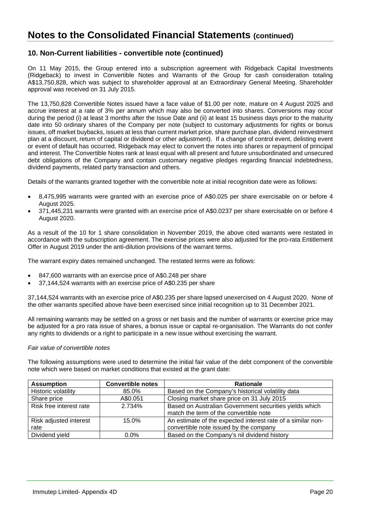## **10. Non-Current liabilities - convertible note (continued)**

On 11 May 2015, the Group entered into a subscription agreement with Ridgeback Capital Investments (Ridgeback) to invest in Convertible Notes and Warrants of the Group for cash consideration totaling A\$13,750,828, which was subject to shareholder approval at an Extraordinary General Meeting. Shareholder approval was received on 31 July 2015.

The 13,750,828 Convertible Notes issued have a face value of \$1.00 per note, mature on 4 August 2025 and accrue interest at a rate of 3% per annum which may also be converted into shares. Conversions may occur during the period (i) at least 3 months after the Issue Date and (ii) at least 15 business days prior to the maturity date into 50 ordinary shares of the Company per note (subject to customary adjustments for rights or bonus issues, off market buybacks, issues at less than current market price, share purchase plan, dividend reinvestment plan at a discount, return of capital or dividend or other adjustment). If a change of control event, delisting event or event of default has occurred, Ridgeback may elect to convert the notes into shares or repayment of principal and interest. The Convertible Notes rank at least equal with all present and future unsubordinated and unsecured debt obligations of the Company and contain customary negative pledges regarding financial indebtedness, dividend payments, related party transaction and others.

Details of the warrants granted together with the convertible note at initial recognition date were as follows:

- 8,475,995 warrants were granted with an exercise price of A\$0.025 per share exercisable on or before 4 August 2025.
- 371,445,231 warrants were granted with an exercise price of A\$0.0237 per share exercisable on or before 4 August 2020.

As a result of the 10 for 1 share consolidation in November 2019, the above cited warrants were restated in accordance with the subscription agreement. The exercise prices were also adjusted for the pro-rata Entitlement Offer in August 2019 under the anti-dilution provisions of the warrant terms.

The warrant expiry dates remained unchanged. The restated terms were as follows:

- 847,600 warrants with an exercise price of A\$0.248 per share
- 37,144,524 warrants with an exercise price of A\$0.235 per share

37,144,524 warrants with an exercise price of A\$0.235 per share lapsed unexercised on 4 August 2020. None of the other warrants specified above have been exercised since initial recognition up to 31 December 2021.

All remaining warrants may be settled on a gross or net basis and the number of warrants or exercise price may be adjusted for a pro rata issue of shares, a bonus issue or capital re-organisation. The Warrants do not confer any rights to dividends or a right to participate in a new issue without exercising the warrant.

#### *Fair value of convertible notes*

The following assumptions were used to determine the initial fair value of the debt component of the convertible note which were based on market conditions that existed at the grant date:

| <b>Assumption</b>       | <b>Convertible notes</b> | <b>Rationale</b>                                            |
|-------------------------|--------------------------|-------------------------------------------------------------|
| Historic volatility     | 85.0%                    | Based on the Company's historical volatility data           |
| Share price             | A\$0.051                 | Closing market share price on 31 July 2015                  |
| Risk free interest rate | 2.734%                   | Based on Australian Government securities yields which      |
|                         |                          | match the term of the convertible note                      |
| Risk adjusted interest  | 15.0%                    | An estimate of the expected interest rate of a similar non- |
| rate                    |                          | convertible note issued by the company                      |
| Dividend yield          | $0.0\%$                  | Based on the Company's nil dividend history                 |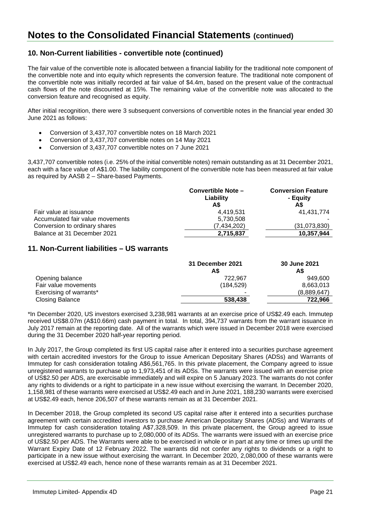## **10. Non-Current liabilities - convertible note (continued)**

The fair value of the convertible note is allocated between a financial liability for the traditional note component of the convertible note and into equity which represents the conversion feature. The traditional note component of the convertible note was initially recorded at fair value of \$4.4m, based on the present value of the contractual cash flows of the note discounted at 15%. The remaining value of the convertible note was allocated to the conversion feature and recognised as equity.

After initial recognition, there were 3 subsequent conversions of convertible notes in the financial year ended 30 June 2021 as follows:

- Conversion of 3,437,707 convertible notes on 18 March 2021
- Conversion of 3,437,707 convertible notes on 14 May 2021
- Conversion of 3,437,707 convertible notes on 7 June 2021

3,437,707 convertible notes (i.e. 25% of the initial convertible notes) remain outstanding as at 31 December 2021, each with a face value of A\$1.00. The liability component of the convertible note has been measured at fair value as required by AASB 2 – Share-based Payments.

|                                  | Convertible Note -<br>Liability | <b>Conversion Feature</b><br>- Equity |
|----------------------------------|---------------------------------|---------------------------------------|
|                                  | A\$                             | A\$                                   |
| Fair value at issuance           | 4.419.531                       | 41.431.774                            |
| Accumulated fair value movements | 5,730,508                       |                                       |
| Conversion to ordinary shares    | (7.434.202)                     | (31,073,830)                          |
| Balance at 31 December 2021      | 2,715,837                       | 10.357.944                            |

### **11. Non-Current liabilities – US warrants**

|                         | 31 December 2021<br>A\$ | 30 June 2021<br>A\$ |
|-------------------------|-------------------------|---------------------|
| Opening balance         | 722.967                 | 949.600             |
| Fair value movements    | (184.529)               | 8,663,013           |
| Exercising of warrants* |                         | (8,889,647)         |
| <b>Closing Balance</b>  | 538,438                 | 722.966             |

\*In December 2020, US investors exercised 3,238,981 warrants at an exercise price of US\$2.49 each. Immutep received US\$8.07m (A\$10.66m) cash payment in total. In total, 394,737 warrants from the warrant issuance in July 2017 remain at the reporting date. All of the warrants which were issued in December 2018 were exercised during the 31 December 2020 half-year reporting period.

In July 2017, the Group completed its first US capital raise after it entered into a securities purchase agreement with certain accredited investors for the Group to issue American Depositary Shares (ADSs) and Warrants of Immutep for cash consideration totaling A\$6,561,765. In this private placement, the Company agreed to issue unregistered warrants to purchase up to 1,973,451 of its ADSs. The warrants were issued with an exercise price of US\$2.50 per ADS, are exercisable immediately and will expire on 5 January 2023. The warrants do not confer any rights to dividends or a right to participate in a new issue without exercising the warrant. In December 2020, 1,158,981 of these warrants were exercised at US\$2.49 each and in June 2021, 188,230 warrants were exercised at US\$2.49 each, hence 206,507 of these warrants remain as at 31 December 2021.

In December 2018, the Group completed its second US capital raise after it entered into a securities purchase agreement with certain accredited investors to purchase American Depositary Shares (ADSs) and Warrants of Immutep for cash consideration totaling A\$7,328,509. In this private placement, the Group agreed to issue unregistered warrants to purchase up to 2,080,000 of its ADSs. The warrants were issued with an exercise price of US\$2.50 per ADS. The Warrants were able to be exercised in whole or in part at any time or times up until the Warrant Expiry Date of 12 February 2022. The warrants did not confer any rights to dividends or a right to participate in a new issue without exercising the warrant. In December 2020, 2,080,000 of these warrants were exercised at US\$2.49 each, hence none of these warrants remain as at 31 December 2021.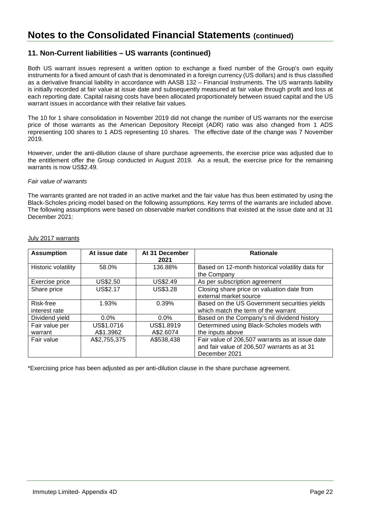## **11. Non-Current liabilities – US warrants (continued)**

Both US warrant issues represent a written option to exchange a fixed number of the Group's own equity instruments for a fixed amount of cash that is denominated in a foreign currency (US dollars) and is thus classified as a derivative financial liability in accordance with AASB 132 – Financial Instruments. The US warrants liability is initially recorded at fair value at issue date and subsequently measured at fair value through profit and loss at each reporting date. Capital raising costs have been allocated proportionately between issued capital and the US warrant issues in accordance with their relative fair values.

The 10 for 1 share consolidation in November 2019 did not change the number of US warrants nor the exercise price of those warrants as the American Depository Receipt (ADR) ratio was also changed from 1 ADS representing 100 shares to 1 ADS representing 10 shares. The effective date of the change was 7 November 2019.

However, under the anti-dilution clause of share purchase agreements, the exercise price was adjusted due to the entitlement offer the Group conducted in August 2019. As a result, the exercise price for the remaining warrants is now US\$2.49.

#### *Fair value of warrants*

The warrants granted are not traded in an active market and the fair value has thus been estimated by using the Black-Scholes pricing model based on the following assumptions. Key terms of the warrants are included above. The following assumptions were based on observable market conditions that existed at the issue date and at 31 December 2021:

| <b>Assumption</b>   | At issue date | At 31 December<br>2021 | <b>Rationale</b>                                 |
|---------------------|---------------|------------------------|--------------------------------------------------|
| Historic volatility | 58.0%         | 136.88%                | Based on 12-month historical volatility data for |
|                     |               |                        | the Company                                      |
| Exercise price      | US\$2.50      | US\$2.49               | As per subscription agreement                    |
| Share price         | US\$2.17      | <b>US\$3.28</b>        | Closing share price on valuation date from       |
|                     |               |                        | external market source                           |
| Risk-free           | 1.93%         | 0.39%                  | Based on the US Government securities yields     |
| interest rate       |               |                        | which match the term of the warrant              |
| Dividend yield      | $0.0\%$       | $0.0\%$                | Based on the Company's nil dividend history      |
| Fair value per      | US\$1.0716    | US\$1.8919             | Determined using Black-Scholes models with       |
| warrant             | A\$1.3962     | A\$2.6074              | the inputs above                                 |
| Fair value          | A\$2,755,375  | A\$538,438             | Fair value of 206,507 warrants as at issue date  |
|                     |               |                        | and fair value of 206,507 warrants as at 31      |
|                     |               |                        | December 2021                                    |

#### July 2017 warrants

\*Exercising price has been adjusted as per anti-dilution clause in the share purchase agreement.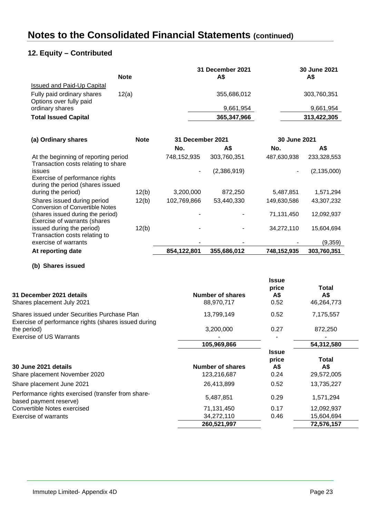## **12. Equity – Contributed**

|                                                       | <b>Note</b> | 31 December 2021<br>A\$ | 30 June 2021<br>A\$ |
|-------------------------------------------------------|-------------|-------------------------|---------------------|
| <b>Issued and Paid-Up Capital</b>                     |             |                         |                     |
| Fully paid ordinary shares<br>Options over fully paid | 12(a)       | 355,686,012             | 303,760,351         |
| ordinary shares                                       |             | 9,661,954               | 9,661,954           |
| <b>Total Issued Capital</b>                           |             | 365,347,966             | 313,422,305         |

| (a) Ordinary shares                                                          | <b>Note</b> | <b>31 December 2021</b>  |             | 30 June 2021 |               |
|------------------------------------------------------------------------------|-------------|--------------------------|-------------|--------------|---------------|
|                                                                              |             | No.                      | A\$         | No.          | A\$           |
| At the beginning of reporting period<br>Transaction costs relating to share  |             | 748,152,935              | 303,760,351 | 487,630,938  | 233,328,553   |
| issues<br>Exercise of performance rights<br>during the period (shares issued |             | $\overline{\phantom{a}}$ | (2,386,919) |              | (2, 135, 000) |
| during the period)                                                           | 12(b)       | 3,200,000                | 872,250     | 5,487,851    | 1,571,294     |
| Shares issued during period<br><b>Conversion of Convertible Notes</b>        | 12(b)       | 102,769,866              | 53,440,330  | 149,630,586  | 43,307,232    |
| (shares issued during the period)<br>Exercise of warrants (shares            |             |                          |             | 71,131,450   | 12,092,937    |
| issued during the period)<br>Transaction costs relating to                   | 12(b)       |                          |             | 34.272.110   | 15,604,694    |
| exercise of warrants                                                         |             |                          |             |              | (9,359)       |
| At reporting date                                                            |             | 854,122,801              | 355,686,012 | 748,152,935  | 303.760.351   |

**(b) Shares issued**

| 31 December 2021 details<br>Shares placement July 2021                                               | Number of shares<br>88,970,717  | Issue<br>price<br>A\$<br>0.52        | Total<br>A\$<br>46,264,773 |
|------------------------------------------------------------------------------------------------------|---------------------------------|--------------------------------------|----------------------------|
| Shares issued under Securities Purchase Plan<br>Exercise of performance rights (shares issued during | 13,799,149                      | 0.52                                 | 7,175,557                  |
| the period)                                                                                          | 3,200,000                       | 0.27                                 | 872,250                    |
| Exercise of US Warrants                                                                              |                                 |                                      |                            |
|                                                                                                      | 105,969,866                     |                                      | 54,312,580                 |
| 30 June 2021 details<br>Share placement November 2020                                                | Number of shares<br>123,216,687 | <b>Issue</b><br>price<br>A\$<br>0.24 | Total<br>A\$<br>29,572,005 |
| Share placement June 2021                                                                            | 26,413,899                      | 0.52                                 | 13,735,227                 |
| Performance rights exercised (transfer from share-<br>based payment reserve)                         | 5,487,851                       | 0.29                                 | 1,571,294                  |
| Convertible Notes exercised                                                                          | 71,131,450                      | 0.17                                 | 12,092,937                 |
| Exercise of warrants                                                                                 | 34,272,110                      | 0.46                                 | 15,604,694                 |
|                                                                                                      | 260,521,997                     |                                      | 72,576,157                 |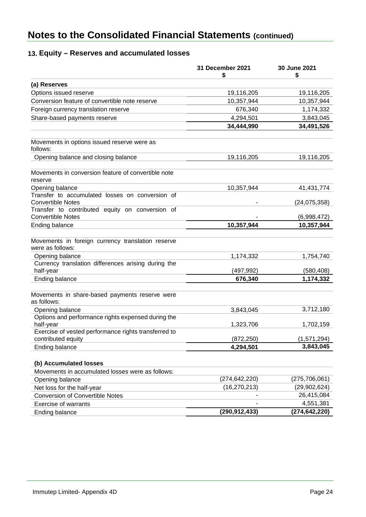## **13. Equity – Reserves and accumulated losses**

|                                                                                                                                                 | 31 December 2021<br>S | 30 June 2021<br>S        |
|-------------------------------------------------------------------------------------------------------------------------------------------------|-----------------------|--------------------------|
| (a) Reserves                                                                                                                                    |                       |                          |
| Options issued reserve                                                                                                                          | 19,116,205            | 19,116,205               |
| Conversion feature of convertible note reserve                                                                                                  | 10,357,944            | 10,357,944               |
| Foreign currency translation reserve                                                                                                            | 676,340               | 1,174,332                |
| Share-based payments reserve                                                                                                                    | 4,294,501             | 3,843,045                |
|                                                                                                                                                 | 34,444,990            | 34,491,526               |
| Movements in options issued reserve were as<br>follows:                                                                                         |                       |                          |
| Opening balance and closing balance                                                                                                             | 19,116,205            | 19,116,205               |
| Movements in conversion feature of convertible note<br>reserve                                                                                  |                       |                          |
| Opening balance                                                                                                                                 | 10,357,944            | 41,431,774               |
| Transfer to accumulated losses on conversion of<br><b>Convertible Notes</b>                                                                     |                       | (24, 075, 358)           |
| Transfer to contributed equity on conversion of<br><b>Convertible Notes</b>                                                                     |                       | (6,998,472)              |
| <b>Ending balance</b>                                                                                                                           | 10,357,944            | 10,357,944               |
| Movements in foreign currency translation reserve<br>were as follows:<br>Opening balance<br>Currency translation differences arising during the | 1,174,332             | 1,754,740                |
| half-year                                                                                                                                       | (497,992)             | (580, 408)               |
| Ending balance                                                                                                                                  | 676,340               | 1,174,332                |
| Movements in share-based payments reserve were<br>as follows:                                                                                   |                       |                          |
| Opening balance                                                                                                                                 | 3,843,045             | 3,712,180                |
| Options and performance rights expensed during the<br>half-year                                                                                 | 1,323,706             | 1,702,159                |
| Exercise of vested performance rights transferred to                                                                                            |                       |                          |
| contributed equity                                                                                                                              | (872, 250)            | (1,571,294)<br>3,843,045 |
| Ending balance                                                                                                                                  | 4,294,501             |                          |
| (b) Accumulated losses                                                                                                                          |                       |                          |
| Movements in accumulated losses were as follows:                                                                                                |                       |                          |
| Opening balance                                                                                                                                 | (274, 642, 220)       | (275, 706, 061)          |
| Net loss for the half-year                                                                                                                      | (16, 270, 213)        | (29, 902, 624)           |
| <b>Conversion of Convertible Notes</b>                                                                                                          |                       | 26,415,084               |
| Exercise of warrants                                                                                                                            |                       | 4,551,381                |
| Ending balance                                                                                                                                  | (290, 912, 433)       | (274, 642, 220)          |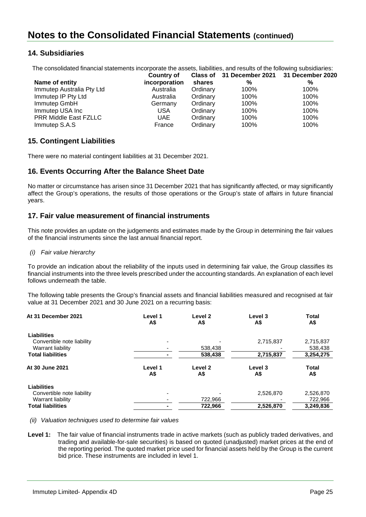## **14. Subsidiaries**

The consolidated financial statements incorporate the assets, liabilities, and results of the following subsidiaries:

| <b>Country of</b> |          |      |                                            |
|-------------------|----------|------|--------------------------------------------|
| incorporation     | shares   | %    | %                                          |
| Australia         | Ordinary | 100% | 100%                                       |
| Australia         | Ordinary | 100% | 100%                                       |
| Germany           | Ordinary | 100% | 100%                                       |
| USA               | Ordinary | 100% | 100%                                       |
| UAE               | Ordinary | 100% | 100%                                       |
| France            | Ordinary | 100% | 100%                                       |
|                   |          |      | Class of 31 December 2021 31 December 2020 |

## **15. Contingent Liabilities**

There were no material contingent liabilities at 31 December 2021.

## **16. Events Occurring After the Balance Sheet Date**

No matter or circumstance has arisen since 31 December 2021 that has significantly affected, or may significantly affect the Group's operations, the results of those operations or the Group's state of affairs in future financial years.

## **17. Fair value measurement of financial instruments**

This note provides an update on the judgements and estimates made by the Group in determining the fair values of the financial instruments since the last annual financial report.

#### *(i) Fair value hierarchy*

To provide an indication about the reliability of the inputs used in determining fair value, the Group classifies its financial instruments into the three levels prescribed under the accounting standards. An explanation of each level follows underneath the table.

The following table presents the Group's financial assets and financial liabilities measured and recognised at fair value at 31 December 2021 and 30 June 2021 on a recurring basis:

| At 31 December 2021        | Level 1<br>A\$ | Level 2<br>A\$ | Level 3<br>A\$ | <b>Total</b><br>А\$ |
|----------------------------|----------------|----------------|----------------|---------------------|
| Liabilities                |                |                |                |                     |
| Convertible note liability |                |                | 2,715,837      | 2,715,837           |
| Warrant liability          |                | 538,438        |                | 538,438             |
| <b>Total liabilities</b>   |                | 538,438        | 2,715,837      | 3,254,275           |
| At 30 June 2021            | Level 1<br>A\$ | Level 2<br>A\$ | Level 3<br>A\$ | <b>Total</b><br>A\$ |
| Liabilities                |                |                |                |                     |
| Convertible note liability |                |                | 2,526,870      | 2,526,870           |
| Warrant liability          |                | 722,966        |                | 722,966             |
| <b>Total liabilities</b>   |                | 722,966        | 2,526,870      | 3,249,836           |

*(ii) Valuation techniques used to determine fair values*

**Level 1:** The fair value of financial instruments trade in active markets (such as publicly traded derivatives, and trading and available-for-sale securities) is based on quoted (unadjusted) market prices at the end of the reporting period. The quoted market price used for financial assets held by the Group is the current bid price. These instruments are included in level 1.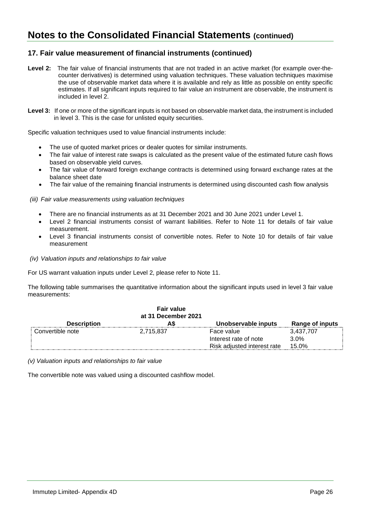## **17. Fair value measurement of financial instruments (continued)**

- **Level 2:** The fair value of financial instruments that are not traded in an active market (for example over-thecounter derivatives) is determined using valuation techniques. These valuation techniques maximise the use of observable market data where it is available and rely as little as possible on entity specific estimates. If all significant inputs required to fair value an instrument are observable, the instrument is included in level 2.
- Level 3: If one or more of the significant inputs is not based on observable market data, the instrument is included in level 3. This is the case for unlisted equity securities.

Specific valuation techniques used to value financial instruments include:

- The use of quoted market prices or dealer quotes for similar instruments.
- The fair value of interest rate swaps is calculated as the present value of the estimated future cash flows based on observable yield curves.
- The fair value of forward foreign exchange contracts is determined using forward exchange rates at the balance sheet date
- The fair value of the remaining financial instruments is determined using discounted cash flow analysis

*(iii) Fair value measurements using valuation techniques*

- There are no financial instruments as at 31 December 2021 and 30 June 2021 under Level 1.
- Level 2 financial instruments consist of warrant liabilities. Refer to Note 11 for details of fair value measurement.
- Level 3 financial instruments consist of convertible notes. Refer to Note 10 for details of fair value measurement
- *(iv) Valuation inputs and relationships to fair value*

For US warrant valuation inputs under Level 2, please refer to Note 11.

The following table summarises the quantitative information about the significant inputs used in level 3 fair value measurements:

| <b>Description</b> | <b>Fair value</b><br>at 31 December 2021 | Unobservable inputs         | Range of inputs |
|--------------------|------------------------------------------|-----------------------------|-----------------|
| Convertible note   | 2,715,837                                | Face value                  | 3.437.707       |
|                    |                                          | Interest rate of note       | 3.0%            |
|                    |                                          | Risk adjusted interest rate | 15.0%           |

*(v) Valuation inputs and relationships to fair value*

The convertible note was valued using a discounted cashflow model.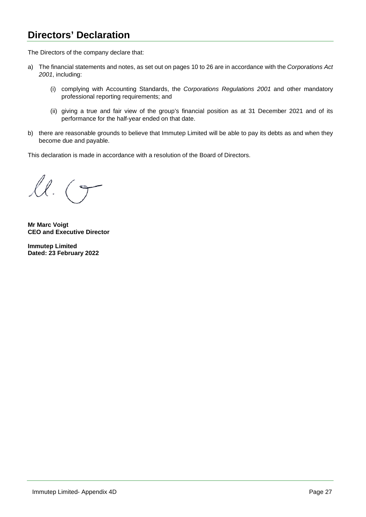## **Directors' Declaration**

The Directors of the company declare that:

- a) The financial statements and notes, as set out on pages 10 to 26 are in accordance with the *Corporations Act 2001*, including:
	- (i) complying with Accounting Standards, the *Corporations Regulations 2001* and other mandatory professional reporting requirements; and
	- (ii) giving a true and fair view of the group's financial position as at 31 December 2021 and of its performance for the half-year ended on that date.
- b) there are reasonable grounds to believe that Immutep Limited will be able to pay its debts as and when they become due and payable.

This declaration is made in accordance with a resolution of the Board of Directors.

 $l.$  $(9)$ 

**Mr Marc Voigt CEO and Executive Director**

**Immutep Limited Dated: 23 February 2022**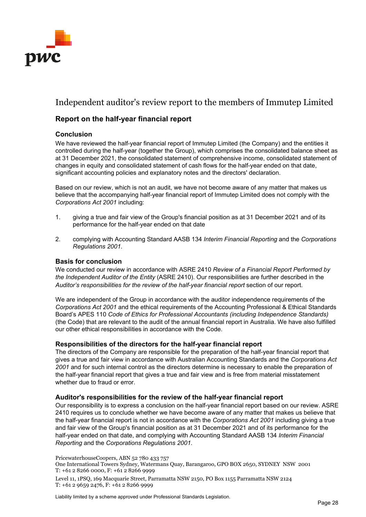

## Independent auditor's review report to the members of Immutep Limited

## **Report on the half-year financial report**

### **Conclusion**

We have reviewed the half-year financial report of Immutep Limited (the Company) and the entities it controlled during the half-year (together the Group), which comprises the consolidated balance sheet as at 31 December 2021, the consolidated statement of comprehensive income, consolidated statement of changes in equity and consolidated statement of cash flows for the half-year ended on that date, significant accounting policies and explanatory notes and the directors' declaration.

Based on our review, which is not an audit, we have not become aware of any matter that makes us believe that the accompanying half-year financial report of Immutep Limited does not comply with the *Corporations Act 2001* including:

- 1. giving a true and fair view of the Group's financial position as at 31 December 2021 and of its performance for the half-year ended on that date
- 2. complying with Accounting Standard AASB 134 *Interim Financial Reporting* and the *Corporations Regulations 2001*.

### **Basis for conclusion**

We conducted our review in accordance with ASRE 2410 *Review of a Financial Report Performed by the Independent Auditor of the Entity* (ASRE 2410). Our responsibilities are further described in the *Auditor's responsibilities for the review of the half-year financial report* section of our report.

We are independent of the Group in accordance with the auditor independence requirements of the *Corporations Act 2001* and the ethical requirements of the Accounting Professional & Ethical Standards Board's APES 110 *Code of Ethics for Professional Accountants (including Independence Standards)* (the Code) that are relevant to the audit of the annual financial report in Australia. We have also fulfilled our other ethical responsibilities in accordance with the Code.

### **Responsibilities of the directors for the half-year financial report**

The directors of the Company are responsible for the preparation of the half-year financial report that gives a true and fair view in accordance with Australian Accounting Standards and the *Corporations Act 2001* and for such internal control as the directors determine is necessary to enable the preparation of the half-year financial report that gives a true and fair view and is free from material misstatement whether due to fraud or error.

### **Auditor's responsibilities for the review of the half-year financial report**

Our responsibility is to express a conclusion on the half-year financial report based on our review. ASRE 2410 requires us to conclude whether we have become aware of any matter that makes us believe that the half-year financial report is not in accordance with the *Corporations Act 2001* including giving a true and fair view of the Group's financial position as at 31 December 2021 and of its performance for the half-year ended on that date, and complying with Accounting Standard AASB 134 *Interim Financial Reporting* and the *Corporations Regulations 2001*.

PricewaterhouseCoopers, ABN 52 780 433 757

One International Towers Sydney, Watermans Quay, Barangaroo, GPO BOX 2650, SYDNEY NSW 2001 T: +61 2 8266 0000, F: +61 2 8266 9999

Level 11, 1PSQ, 169 Macquarie Street, Parramatta NSW 2150, PO Box 1155 Parramatta NSW 2124 T: +61 2 9659 2476, F: +61 2 8266 9999

Liability limited by a scheme approved under Professional Standards Legislation.